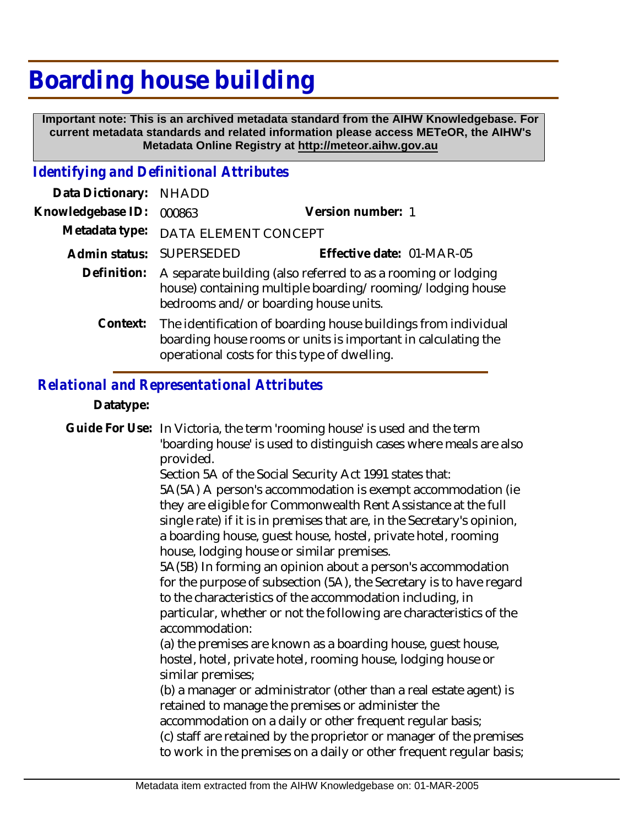# **Boarding house building**

 **Important note: This is an archived metadata standard from the AIHW Knowledgebase. For current metadata standards and related information please access METeOR, the AIHW's Metadata Online Registry at http://meteor.aihw.gov.au**

### *Identifying and Definitional Attributes*

| Data Dictionary:  | <b>NHADD</b>                                                                                                                                                                    |                           |
|-------------------|---------------------------------------------------------------------------------------------------------------------------------------------------------------------------------|---------------------------|
| Knowledgebase ID: | 000863                                                                                                                                                                          | Version number: 1         |
| Metadata type:    | DATA ELEMENT CONCEPT                                                                                                                                                            |                           |
|                   | Admin status: SUPERSEDED                                                                                                                                                        | Effective date: 01-MAR-05 |
| Definition:       | A separate building (also referred to as a rooming or lodging<br>house) containing multiple boarding/rooming/lodging house<br>bedrooms and/or boarding house units.             |                           |
| Context:          | The identification of boarding house buildings from individual<br>boarding house rooms or units is important in calculating the<br>operational costs for this type of dwelling. |                           |

### *Relational and Representational Attributes*

#### **Datatype:**

Guide For Use: In Victoria, the term 'rooming house' is used and the term 'boarding house' is used to distinguish cases where meals are also provided.

> Section 5A of the Social Security Act 1991 states that: 5A(5A) A person's accommodation is exempt accommodation (ie they are eligible for Commonwealth Rent Assistance at the full single rate) if it is in premises that are, in the Secretary's opinion, a boarding house, guest house, hostel, private hotel, rooming house, lodging house or similar premises.

> 5A(5B) In forming an opinion about a person's accommodation for the purpose of subsection (5A), the Secretary is to have regard to the characteristics of the accommodation including, in particular, whether or not the following are characteristics of the accommodation:

(a) the premises are known as a boarding house, guest house, hostel, hotel, private hotel, rooming house, lodging house or similar premises;

(b) a manager or administrator (other than a real estate agent) is retained to manage the premises or administer the

accommodation on a daily or other frequent regular basis;

(c) staff are retained by the proprietor or manager of the premises to work in the premises on a daily or other frequent regular basis;